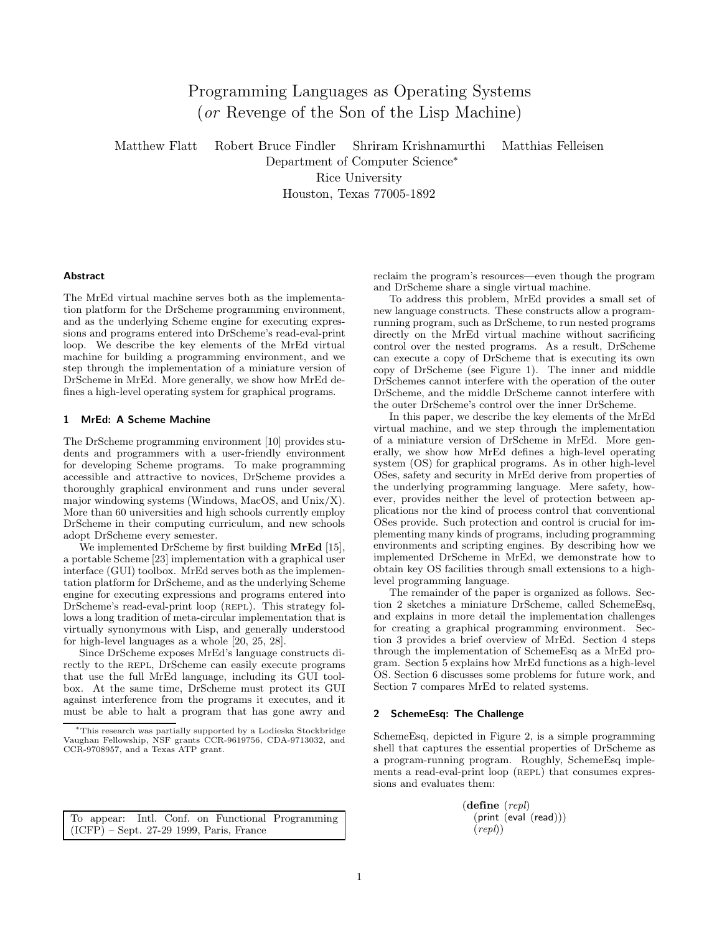# Programming Languages as Operating Systems (or Revenge of the Son of the Lisp Machine)

Matthew Flatt Robert Bruce Findler Shriram Krishnamurthi Matthias Felleisen

Department of Computer Science<sup>∗</sup> Rice University

Houston, Texas 77005-1892

## **Abstract**

The MrEd virtual machine serves both as the implementation platform for the DrScheme programming environment, and as the underlying Scheme engine for executing expressions and programs entered into DrScheme's read-eval-print loop. We describe the key elements of the MrEd virtual machine for building a programming environment, and we step through the implementation of a miniature version of DrScheme in MrEd. More generally, we show how MrEd defines a high-level operating system for graphical programs.

# 1 MrEd: A Scheme Machine

The DrScheme programming environment [10] provides students and programmers with a user-friendly environment for developing Scheme programs. To make programming accessible and attractive to novices, DrScheme provides a thoroughly graphical environment and runs under several major windowing systems (Windows, MacOS, and Unix/X). More than 60 universities and high schools currently employ DrScheme in their computing curriculum, and new schools adopt DrScheme every semester.

We implemented DrScheme by first building **MrEd** [15], a portable Scheme [23] implementation with a graphical user interface (GUI) toolbox. MrEd serves both as the implementation platform for DrScheme, and as the underlying Scheme engine for executing expressions and programs entered into DrScheme's read-eval-print loop (REPL). This strategy follows a long tradition of meta-circular implementation that is virtually synonymous with Lisp, and generally understood for high-level languages as a whole [20, 25, 28].

Since DrScheme exposes MrEd's language constructs directly to the REPL, DrScheme can easily execute programs that use the full MrEd language, including its GUI toolbox. At the same time, DrScheme must protect its GUI against interference from the programs it executes, and it must be able to halt a program that has gone awry and

To appear: Intl. Conf. on Functional Programming (ICFP) – Sept. 27-29 1999, Paris, France

reclaim the program's resources—even though the program and DrScheme share a single virtual machine.

To address this problem, MrEd provides a small set of new language constructs. These constructs allow a programrunning program, such as DrScheme, to run nested programs directly on the MrEd virtual machine without sacrificing control over the nested programs. As a result, DrScheme can execute a copy of DrScheme that is executing its own copy of DrScheme (see Figure 1). The inner and middle DrSchemes cannot interfere with the operation of the outer DrScheme, and the middle DrScheme cannot interfere with the outer DrScheme's control over the inner DrScheme.

In this paper, we describe the key elements of the MrEd virtual machine, and we step through the implementation of a miniature version of DrScheme in MrEd. More generally, we show how MrEd defines a high-level operating system (OS) for graphical programs. As in other high-level OSes, safety and security in MrEd derive from properties of the underlying programming language. Mere safety, however, provides neither the level of protection between applications nor the kind of process control that conventional OSes provide. Such protection and control is crucial for implementing many kinds of programs, including programming environments and scripting engines. By describing how we implemented DrScheme in MrEd, we demonstrate how to obtain key OS facilities through small extensions to a highlevel programming language.

The remainder of the paper is organized as follows. Section 2 sketches a miniature DrScheme, called SchemeEsq, and explains in more detail the implementation challenges for creating a graphical programming environment. Section 3 provides a brief overview of MrEd. Section 4 steps through the implementation of SchemeEsq as a MrEd program. Section 5 explains how MrEd functions as a high-level OS. Section 6 discusses some problems for future work, and Section 7 compares MrEd to related systems.

#### 2 SchemeEsq: The Challenge

SchemeEsq, depicted in Figure 2, is a simple programming shell that captures the essential properties of DrScheme as a program-running program. Roughly, SchemeEsq implements a read-eval-print loop (REPL) that consumes expressions and evaluates them:

> (define (repl) (print (eval (read)))  $(repl)$ )

<sup>∗</sup>This research was partially supported by a Lodieska Stockbridge Vaughan Fellowship, NSF grants CCR-9619756, CDA-9713032, and CCR-9708957, and a Texas ATP grant.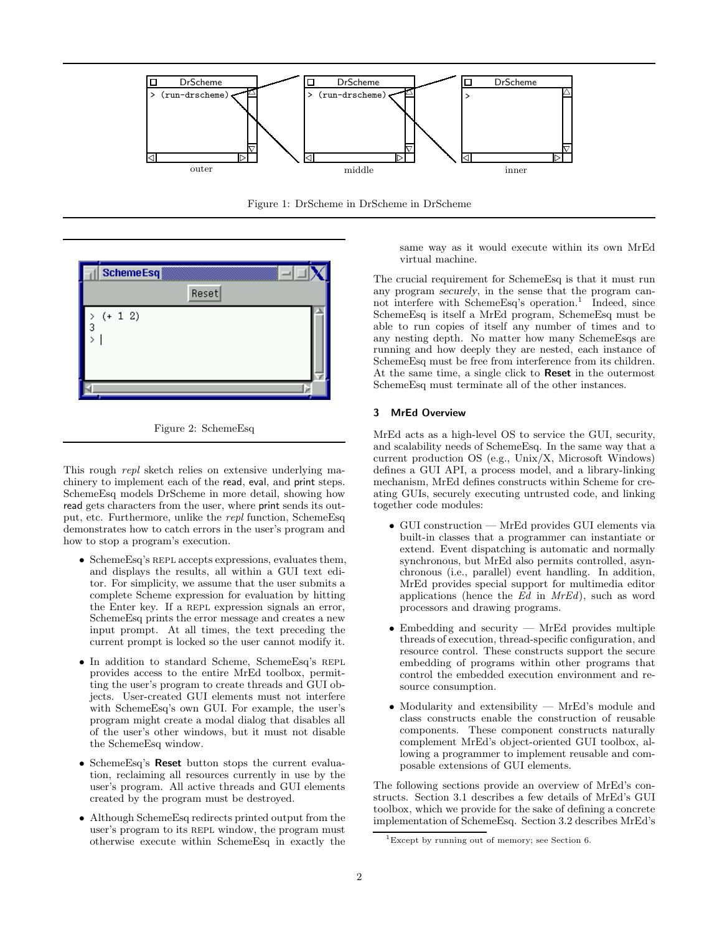

Figure 1: DrScheme in DrScheme in DrScheme





This rough *repl* sketch relies on extensive underlying machinery to implement each of the read, eval, and print steps. SchemeEsq models DrScheme in more detail, showing how read gets characters from the user, where print sends its output, etc. Furthermore, unlike the repl function, SchemeEsq demonstrates how to catch errors in the user's program and how to stop a program's execution.

- SchemeEsq's REPL accepts expressions, evaluates them, and displays the results, all within a GUI text editor. For simplicity, we assume that the user submits a complete Scheme expression for evaluation by hitting the Enter key. If a REPL expression signals an error, SchemeEsq prints the error message and creates a new input prompt. At all times, the text preceding the current prompt is locked so the user cannot modify it.
- In addition to standard Scheme, SchemeEsq's repl provides access to the entire MrEd toolbox, permitting the user's program to create threads and GUI objects. User-created GUI elements must not interfere with SchemeEsq's own GUI. For example, the user's program might create a modal dialog that disables all of the user's other windows, but it must not disable the SchemeEsq window.
- SchemeEsq's Reset button stops the current evaluation, reclaiming all resources currently in use by the user's program. All active threads and GUI elements created by the program must be destroyed.
- Although SchemeEsq redirects printed output from the user's program to its REPL window, the program must otherwise execute within SchemeEsq in exactly the

same way as it would execute within its own MrEd virtual machine.

The crucial requirement for SchemeEsq is that it must run any program securely, in the sense that the program cannot interfere with SchemeEsq's operation.<sup>1</sup> Indeed, since SchemeEsq is itself a MrEd program, SchemeEsq must be able to run copies of itself any number of times and to any nesting depth. No matter how many SchemeEsqs are running and how deeply they are nested, each instance of SchemeEsq must be free from interference from its children. At the same time, a single click to **Reset** in the outermost SchemeEsq must terminate all of the other instances.

# 3 MrEd Overview

MrEd acts as a high-level OS to service the GUI, security, and scalability needs of SchemeEsq. In the same way that a current production OS (e.g., Unix/X, Microsoft Windows) defines a GUI API, a process model, and a library-linking mechanism, MrEd defines constructs within Scheme for creating GUIs, securely executing untrusted code, and linking together code modules:

- GUI construction MrEd provides GUI elements via built-in classes that a programmer can instantiate or extend. Event dispatching is automatic and normally synchronous, but MrEd also permits controlled, asynchronous (i.e., parallel) event handling. In addition, MrEd provides special support for multimedia editor applications (hence the  $Ed$  in  $MrEd$ ), such as word processors and drawing programs.
- Embedding and security MrEd provides multiple threads of execution, thread-specific configuration, and resource control. These constructs support the secure embedding of programs within other programs that control the embedded execution environment and resource consumption.
- Modularity and extensibility MrEd's module and class constructs enable the construction of reusable components. These component constructs naturally complement MrEd's object-oriented GUI toolbox, allowing a programmer to implement reusable and composable extensions of GUI elements.

The following sections provide an overview of MrEd's constructs. Section 3.1 describes a few details of MrEd's GUI toolbox, which we provide for the sake of defining a concrete implementation of SchemeEsq. Section 3.2 describes MrEd's

<sup>&</sup>lt;sup>1</sup>Except by running out of memory; see Section 6.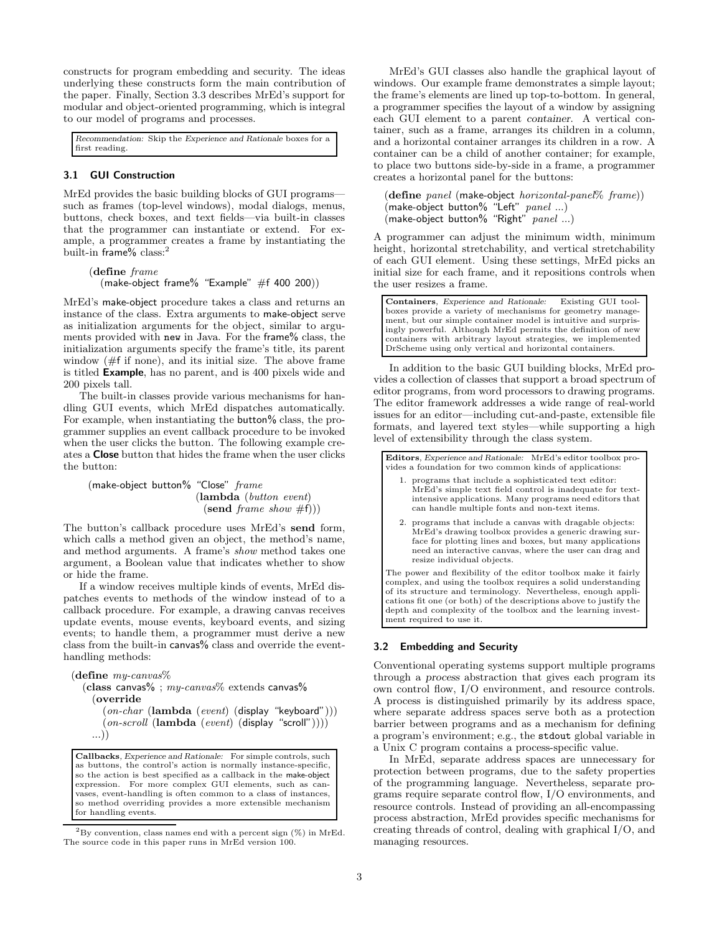constructs for program embedding and security. The ideas underlying these constructs form the main contribution of the paper. Finally, Section 3.3 describes MrEd's support for modular and object-oriented programming, which is integral to our model of programs and processes.

Recommendation: Skip the Experience and Rationale boxes for a first reading.

## 3.1 GUI Construction

MrEd provides the basic building blocks of GUI programs such as frames (top-level windows), modal dialogs, menus, buttons, check boxes, and text fields—via built-in classes that the programmer can instantiate or extend. For example, a programmer creates a frame by instantiating the built-in frame% class:<sup>2</sup>

## (define frame (make-object frame $\%$  "Example" #f 400 200))

MrEd's make-object procedure takes a class and returns an instance of the class. Extra arguments to make-object serve as initialization arguments for the object, similar to arguments provided with new in Java. For the frame% class, the initialization arguments specify the frame's title, its parent window  $(\#f \text{ if none})$ , and its initial size. The above frame is titled Example, has no parent, and is 400 pixels wide and 200 pixels tall.

The built-in classes provide various mechanisms for handling GUI events, which MrEd dispatches automatically. For example, when instantiating the button<sup>%</sup> class, the programmer supplies an event callback procedure to be invoked when the user clicks the button. The following example creates a Close button that hides the frame when the user clicks the button:

(make-object button% "Close" frame (lambda (button event)  $(\text{send} \ \text{frame} \ \text{show} \ \#f)))$ 

The button's callback procedure uses MrEd's send form, which calls a method given an object, the method's name, and method arguments. A frame's show method takes one argument, a Boolean value that indicates whether to show or hide the frame.

If a window receives multiple kinds of events, MrEd dispatches events to methods of the window instead of to a callback procedure. For example, a drawing canvas receives update events, mouse events, keyboard events, and sizing events; to handle them, a programmer must derive a new class from the built-in canvas% class and override the eventhandling methods:

```
(define my\text{-}canvas\%(class canvas% ; my\text{-}canvas\% extends canvas%
    (override
       (on-char (lambda (event) (display "keyboard")))
       (on-scroll (lambda (event)(display "scroll"))))
```

```
...))
```
Callbacks, Experience and Rationale: For simple controls, such as buttons, the control's action is normally instance-specific, so the action is best specified as a callback in the make-object expression. For more complex GUI elements, such as canvases, event-handling is often common to a class of instances, so method overriding provides a more extensible mechanism for handling events.

 ${}^{2}$ By convention, class names end with a percent sign  $(\%)$  in MrEd. The source code in this paper runs in MrEd version 100.

MrEd's GUI classes also handle the graphical layout of windows. Our example frame demonstrates a simple layout; the frame's elements are lined up top-to-bottom. In general, a programmer specifies the layout of a window by assigning each GUI element to a parent container. A vertical container, such as a frame, arranges its children in a column, and a horizontal container arranges its children in a row. A container can be a child of another container; for example, to place two buttons side-by-side in a frame, a programmer creates a horizontal panel for the buttons:

(define  $panel$  (make-object  $horizontal-panel \%$   $frame$ ))  $(make-object button% "Left" panel ...)$ (make-object button% "Right" panel ...)

A programmer can adjust the minimum width, minimum height, horizontal stretchability, and vertical stretchability of each GUI element. Using these settings, MrEd picks an initial size for each frame, and it repositions controls when the user resizes a frame.

Containers, Experience and Rationale: Existing GUI toolboxes provide a variety of mechanisms for geometry management, but our simple container model is intuitive and surprisingly powerful. Although MrEd permits the definition of new containers with arbitrary layout strategies, we implemented DrScheme using only vertical and horizontal containers.

In addition to the basic GUI building blocks, MrEd provides a collection of classes that support a broad spectrum of editor programs, from word processors to drawing programs. The editor framework addresses a wide range of real-world issues for an editor—including cut-and-paste, extensible file formats, and layered text styles—while supporting a high level of extensibility through the class system.

Editors, Experience and Rationale: MrEd's editor toolbox provides a foundation for two common kinds of applications:

- 1. programs that include a sophisticated text editor: MrEd's simple text field control is inadequate for textintensive applications. Many programs need editors that can handle multiple fonts and non-text items.
- 2. programs that include a canvas with dragable objects: MrEd's drawing toolbox provides a generic drawing surface for plotting lines and boxes, but many applications need an interactive canvas, where the user can drag and resize individual objects.

The power and flexibility of the editor toolbox make it fairly complex, and using the toolbox requires a solid understanding of its structure and terminology. Nevertheless, enough applications fit one (or both) of the descriptions above to justify the depth and complexity of the toolbox and the learning investment required to use it.

# 3.2 Embedding and Security

Conventional operating systems support multiple programs through a process abstraction that gives each program its own control flow, I/O environment, and resource controls. A process is distinguished primarily by its address space, where separate address spaces serve both as a protection barrier between programs and as a mechanism for defining a program's environment; e.g., the stdout global variable in a Unix C program contains a process-specific value.

In MrEd, separate address spaces are unnecessary for protection between programs, due to the safety properties of the programming language. Nevertheless, separate programs require separate control flow, I/O environments, and resource controls. Instead of providing an all-encompassing process abstraction, MrEd provides specific mechanisms for creating threads of control, dealing with graphical I/O, and managing resources.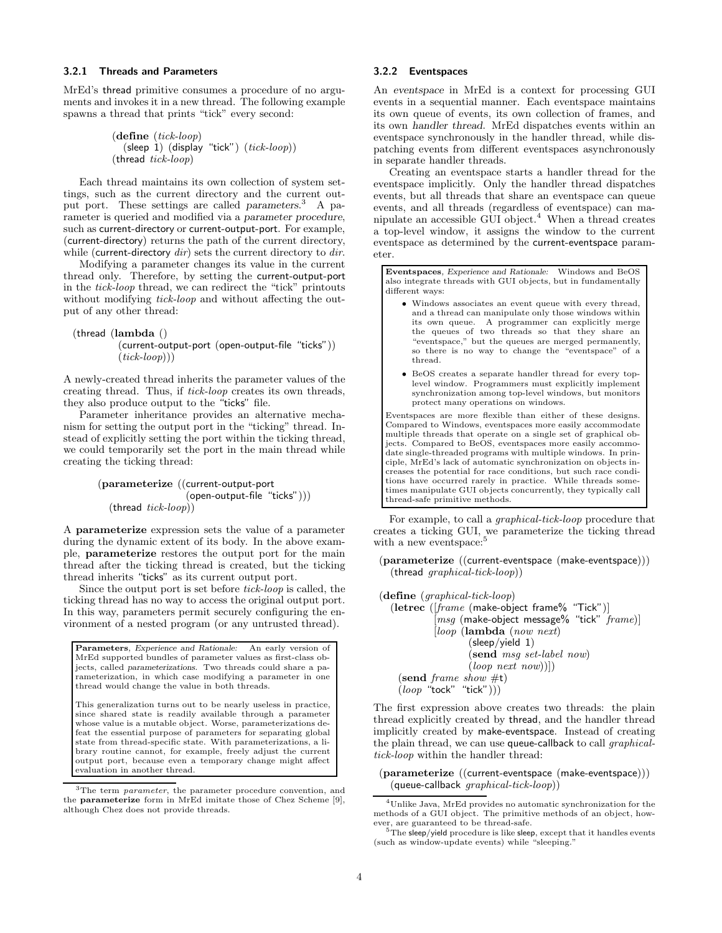## 3.2.1 Threads and Parameters

MrEd's thread primitive consumes a procedure of no arguments and invokes it in a new thread. The following example spawns a thread that prints "tick" every second:

```
(define (tick-loop)
  (sleep 1) (display "tick") (tick-loop))
(thread tick-loop)
```
Each thread maintains its own collection of system settings, such as the current directory and the current output port. These settings are called parameters.<sup>3</sup> A parameter is queried and modified via a parameter procedure, such as current-directory or current-output-port. For example, (current-directory) returns the path of the current directory, while (current-directory  $dir$ ) sets the current directory to  $dir$ .

Modifying a parameter changes its value in the current thread only. Therefore, by setting the current-output-port in the tick-loop thread, we can redirect the "tick" printouts without modifying *tick-loop* and without affecting the output of any other thread:

# (thread (lambda ()

(current-output-port (open-output-file "ticks"))  $(tick-loop))$ 

A newly-created thread inherits the parameter values of the creating thread. Thus, if tick-loop creates its own threads, they also produce output to the "ticks" file.

Parameter inheritance provides an alternative mechanism for setting the output port in the "ticking" thread. Instead of explicitly setting the port within the ticking thread, we could temporarily set the port in the main thread while creating the ticking thread:

> (parameterize ((current-output-port (open-output-file "ticks")))  $(\text{thread } tick-loop)$ )

A parameterize expression sets the value of a parameter during the dynamic extent of its body. In the above example, parameterize restores the output port for the main thread after the ticking thread is created, but the ticking thread inherits "ticks" as its current output port.

Since the output port is set before  $tick\text{-}loop$  is called, the ticking thread has no way to access the original output port. In this way, parameters permit securely configuring the environment of a nested program (or any untrusted thread).

Parameters, Experience and Rationale: An early version of MrEd supported bundles of parameter values as first-class objects, called parameterizations. Two threads could share a parameterization, in which case modifying a parameter in one thread would change the value in both threads.

This generalization turns out to be nearly useless in practice, since shared state is readily available through a parameter whose value is a mutable object. Worse, parameterizations defeat the essential purpose of parameters for separating global state from thread-specific state. With parameterizations, a library routine cannot, for example, freely adjust the current output port, because even a temporary change might affect evaluation in another thread.

<sup>3</sup>The term *parameter*, the parameter procedure convention, and the parameterize form in MrEd imitate those of Chez Scheme [9], although Chez does not provide threads.

#### 3.2.2 Eventspaces

An eventspace in MrEd is a context for processing GUI events in a sequential manner. Each eventspace maintains its own queue of events, its own collection of frames, and its own handler thread. MrEd dispatches events within an eventspace synchronously in the handler thread, while dispatching events from different eventspaces asynchronously in separate handler threads.

Creating an eventspace starts a handler thread for the eventspace implicitly. Only the handler thread dispatches events, but all threads that share an eventspace can queue events, and all threads (regardless of eventspace) can manipulate an accessible  $GUI$  object.<sup>4</sup> When a thread creates a top-level window, it assigns the window to the current eventspace as determined by the current-eventspace parameter.

Eventspaces, Experience and Rationale: Windows and BeOS also integrate threads with GUI objects, but in fundamentally different ways:

- Windows associates an event queue with every thread, and a thread can manipulate only those windows within its own queue. A programmer can explicitly merge the queues of two threads so that they share an "eventspace," but the queues are merged permanently, so there is no way to change the "eventspace" of a thread.
- BeOS creates a separate handler thread for every toplevel window. Programmers must explicitly implement synchronization among top-level windows, but monitors protect many operations on windows.

Eventspaces are more flexible than either of these designs. Compared to Windows, eventspaces more easily accommodate multiple threads that operate on a single set of graphical objects. Compared to BeOS, eventspaces more easily accommodate single-threaded programs with multiple windows. In principle, MrEd's lack of automatic synchronization on objects increases the potential for race conditions, but such race conditions have occurred rarely in practice. While threads sometimes manipulate GUI objects concurrently, they typically call thread-safe primitive methods.

For example, to call a graphical-tick-loop procedure that creates a ticking GUI, we parameterize the ticking thread with a new eventspace:<sup>5</sup>

(parameterize ((current-eventspace (make-eventspace))) (thread graphical-tick-loop))

```
(define (graphical-tick-loop)
  (letrec ([frame (make-object frame% "Tick")]
             [msq \ (make\ -object \ message\% \ 'tick' \ frame)][loop (lambda (now next)
                     (sleep/yield 1)
                     (send msg set-label now)
                     (log_{\text{p}} \text{next} \text{new})]
    (send frame show \#t)
    (\textit{loop} "tock" "tick")))
```
The first expression above creates two threads: the plain thread explicitly created by thread, and the handler thread implicitly created by make-eventspace. Instead of creating the plain thread, we can use queue-callback to call *graphical*tick-loop within the handler thread:

(parameterize ((current-eventspace (make-eventspace)))  $($ queue-callback  $\overline{graphical\text{-}tick\text{-}loop})$ )

 $^{4}$ Unlike Java, MrEd provides no automatic synchronization for the methods of a GUI object. The primitive methods of an object, however, are guaranteed to be thread-safe.

 $5$ The sleep/yield procedure is like sleep, except that it handles events (such as window-update events) while "sleeping."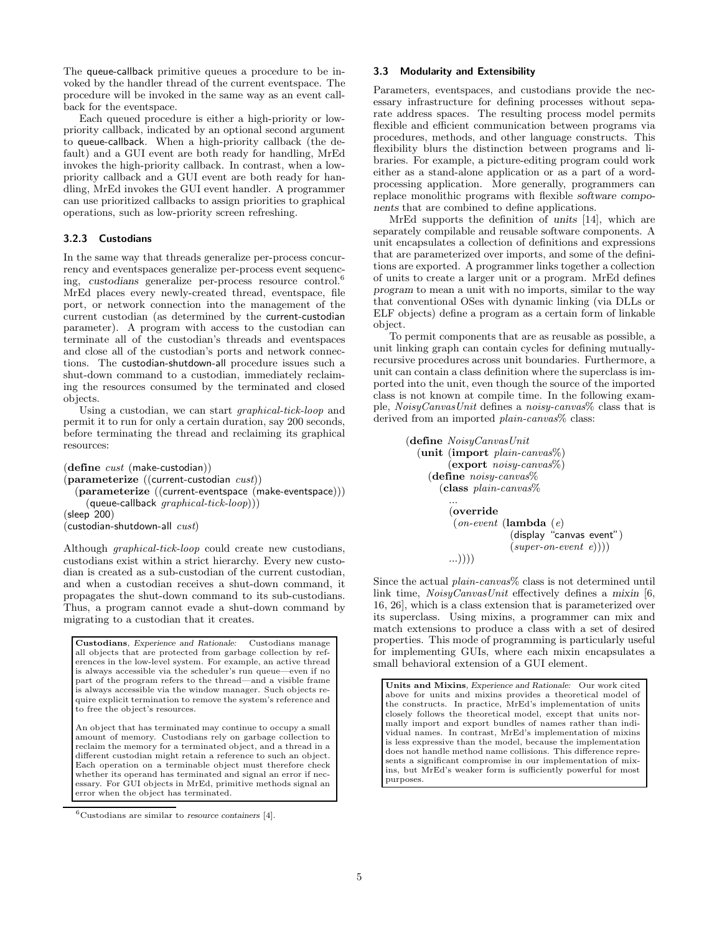The queue-callback primitive queues a procedure to be invoked by the handler thread of the current eventspace. The procedure will be invoked in the same way as an event callback for the eventspace.

Each queued procedure is either a high-priority or lowpriority callback, indicated by an optional second argument to queue-callback. When a high-priority callback (the default) and a GUI event are both ready for handling, MrEd invokes the high-priority callback. In contrast, when a lowpriority callback and a GUI event are both ready for handling, MrEd invokes the GUI event handler. A programmer can use prioritized callbacks to assign priorities to graphical operations, such as low-priority screen refreshing.

## 3.2.3 Custodians

In the same way that threads generalize per-process concurrency and eventspaces generalize per-process event sequencing, custodians generalize per-process resource control.<sup>6</sup> MrEd places every newly-created thread, eventspace, file port, or network connection into the management of the current custodian (as determined by the current-custodian parameter). A program with access to the custodian can terminate all of the custodian's threads and eventspaces and close all of the custodian's ports and network connections. The custodian-shutdown-all procedure issues such a shut-down command to a custodian, immediately reclaiming the resources consumed by the terminated and closed objects.

Using a custodian, we can start graphical-tick-loop and permit it to run for only a certain duration, say 200 seconds, before terminating the thread and reclaiming its graphical resources:

(define cust (make-custodian)) (parameterize ((current-custodian cust)) (parameterize ((current-eventspace (make-eventspace)))  $(\text{queue-callback } graphical\text{-}tick\text{-}loop)))$ (sleep 200)  $(custodian-shutdown-all *cust*)$ 

Although graphical-tick-loop could create new custodians, custodians exist within a strict hierarchy. Every new custodian is created as a sub-custodian of the current custodian, and when a custodian receives a shut-down command, it propagates the shut-down command to its sub-custodians. Thus, a program cannot evade a shut-down command by migrating to a custodian that it creates.

Custodians, Experience and Rationale: Custodians manage all objects that are protected from garbage collection by references in the low-level system. For example, an active thread is always accessible via the scheduler's run queue—even if no part of the program refers to the thread—and a visible frame is always accessible via the window manager. Such objects require explicit termination to remove the system's reference and to free the object's resources.

An object that has terminated may continue to occupy a small amount of memory. Custodians rely on garbage collection to reclaim the memory for a terminated object, and a thread in a different custodian might retain a reference to such an object. Each operation on a terminable object must therefore check whether its operand has terminated and signal an error if necessary. For GUI objects in MrEd, primitive methods signal an error when the object has terminated.

## 3.3 Modularity and Extensibility

Parameters, eventspaces, and custodians provide the necessary infrastructure for defining processes without separate address spaces. The resulting process model permits flexible and efficient communication between programs via procedures, methods, and other language constructs. This flexibility blurs the distinction between programs and libraries. For example, a picture-editing program could work either as a stand-alone application or as a part of a wordprocessing application. More generally, programmers can replace monolithic programs with flexible software components that are combined to define applications.

MrEd supports the definition of units [14], which are separately compilable and reusable software components. A unit encapsulates a collection of definitions and expressions that are parameterized over imports, and some of the definitions are exported. A programmer links together a collection of units to create a larger unit or a program. MrEd defines program to mean a unit with no imports, similar to the way that conventional OSes with dynamic linking (via DLLs or ELF objects) define a program as a certain form of linkable object.

To permit components that are as reusable as possible, a unit linking graph can contain cycles for defining mutuallyrecursive procedures across unit boundaries. Furthermore, a unit can contain a class definition where the superclass is imported into the unit, even though the source of the imported class is not known at compile time. In the following example, NoisyCanvasUnit defines a noisy-canvas% class that is derived from an imported *plain-canvas*% class:

```
(define\ Noisy CanvasUnit)(unit (import plain-canvas%)
        (export noisy-canvas%)
    (define noisy-canvas%
      (class plain-canvas%
        ...
        (override
         (on-event) (lambda (e)(display "canvas event")
                     (super-on-event e))))...))))
```
Since the actual *plain-canvas*% class is not determined until link time, *NoisyCanvasUnit* effectively defines a mixin [6, 16, 26], which is a class extension that is parameterized over its superclass. Using mixins, a programmer can mix and match extensions to produce a class with a set of desired properties. This mode of programming is particularly useful for implementing GUIs, where each mixin encapsulates a small behavioral extension of a GUI element.

Units and Mixins, Experience and Rationale: Our work cited above for units and mixins provides a theoretical model of the constructs. In practice, MrEd's implementation of units closely follows the theoretical model, except that units normally import and export bundles of names rather than individual names. In contrast, MrEd's implementation of mixins is less expressive than the model, because the implementation does not handle method name collisions. This difference represents a significant compromise in our implementation of mixins, but MrEd's weaker form is sufficiently powerful for most purposes.

 ${}^{6}$ Custodians are similar to resource containers [4].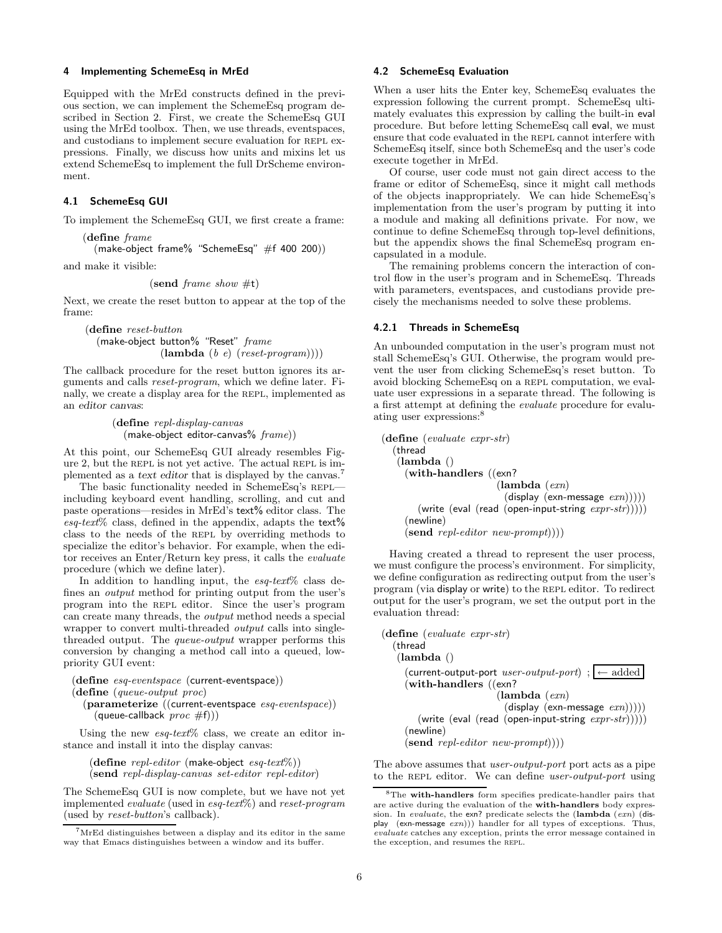## 4 Implementing SchemeEsq in MrEd

Equipped with the MrEd constructs defined in the previous section, we can implement the SchemeEsq program described in Section 2. First, we create the SchemeEsq GUI using the MrEd toolbox. Then, we use threads, eventspaces, and custodians to implement secure evaluation for REPL expressions. Finally, we discuss how units and mixins let us extend SchemeEsq to implement the full DrScheme environment.

### 4.1 SchemeEsq GUI

To implement the SchemeEsq GUI, we first create a frame:

(define frame

(make-object frame% "SchemeEsq" #f 400 200))

and make it visible:

(send *frame show*  $\#t$ )

Next, we create the reset button to appear at the top of the frame:

(define reset-button (make-object button% "Reset" frame  $(\textbf{lambda} (b e) (reset-program))))$ 

The callback procedure for the reset button ignores its arguments and calls reset-program, which we define later. Finally, we create a display area for the REPL, implemented as an editor canvas:

> (define repl-display-canvas  $(make-object editor-canvas% frame))$

At this point, our SchemeEsq GUI already resembles Figure 2, but the repl is not yet active. The actual repl is implemented as a text editor that is displayed by the canvas.<sup>7</sup>

The basic functionality needed in SchemeEsq's repl including keyboard event handling, scrolling, and cut and paste operations—resides in MrEd's text% editor class. The  $esq\text{-}text\%$  class, defined in the appendix, adapts the text<sup> $\%$ </sup> class to the needs of the repl by overriding methods to specialize the editor's behavior. For example, when the editor receives an Enter/Return key press, it calls the evaluate procedure (which we define later).

In addition to handling input, the  $esq-text\%$  class defines an output method for printing output from the user's program into the repl editor. Since the user's program can create many threads, the output method needs a special wrapper to convert multi-threaded output calls into singlethreaded output. The queue-output wrapper performs this conversion by changing a method call into a queued, lowpriority GUI event:

(define esq-eventspace (current-eventspace)) (define (queue-output proc) (parameterize ((current-eventspace esq-eventspace)) (queue-callback  $proc #f))$ )

Using the new  $esq\textrm{-}text%$  class, we create an editor in-

stance and install it into the display canvas:

(define repl-editor (make-object esq-text%)) (send repl-display-canvas set-editor repl-editor)

The SchemeEsq GUI is now complete, but we have not yet implemented evaluate (used in esq-text%) and reset-program (used by reset-button's callback).

# 4.2 SchemeEsq Evaluation

When a user hits the Enter key, SchemeEsq evaluates the expression following the current prompt. SchemeEsq ultimately evaluates this expression by calling the built-in eval procedure. But before letting SchemeEsq call eval, we must ensure that code evaluated in the repl cannot interfere with SchemeEsq itself, since both SchemeEsq and the user's code execute together in MrEd.

Of course, user code must not gain direct access to the frame or editor of SchemeEsq, since it might call methods of the objects inappropriately. We can hide SchemeEsq's implementation from the user's program by putting it into a module and making all definitions private. For now, we continue to define SchemeEsq through top-level definitions, but the appendix shows the final SchemeEsq program encapsulated in a module.

The remaining problems concern the interaction of control flow in the user's program and in SchemeEsq. Threads with parameters, eventspaces, and custodians provide precisely the mechanisms needed to solve these problems.

## 4.2.1 Threads in SchemeEsq

An unbounded computation in the user's program must not stall SchemeEsq's GUI. Otherwise, the program would prevent the user from clicking SchemeEsq's reset button. To avoid blocking SchemeEsq on a repl computation, we evaluate user expressions in a separate thread. The following is a first attempt at defining the evaluate procedure for evaluating user expressions:<sup>8</sup>

```
(define (evaluate expr-str)
  (thread
   (lambda ()
     (with-handlers ((exn?
                            (lambda (exn))(display (exn-message <math>exn</math>))))(write (eval (read (open-input-string expr \text{-}str)))))
     (newline)
     (send \; repl\text{-}editor \; new\text{-}prompt))))
```
Having created a thread to represent the user process, we must configure the process's environment. For simplicity, we define configuration as redirecting output from the user's program (via display or write) to the REPL editor. To redirect output for the user's program, we set the output port in the evaluation thread:

```
(define (evaluate expr-str)
  (thread
    (lambda ()
      (current-output-port user-output-port) ; \left| \leftarrow \text{added} \right|(with-handlers ((exn?
                                (\textbf{lambda}(exn))(display (exn-message <math>exn</math>))))(write (eval (read (open-input-string expr \text{-}str)))))
      (newline)
      (\mathbf{send}\; repl\text{-}editor}\; new\text{-}prompt))))
```
The above assumes that user-output-port port acts as a pipe to the REPL editor. We can define user-output-port using

 $7$ MrEd distinguishes between a display and its editor in the same way that Emacs distinguishes between a window and its buffer.

 $8$ The with-handlers form specifies predicate-handler pairs that are active during the evaluation of the with-handlers body expression. In evaluate, the exn? predicate selects the  $(\text{lambda} (exn) (\text{dis-}$ play (exn-message  $(exn))$ ) handler for all types of exceptions. Thus, evaluate catches any exception, prints the error message contained in the exception, and resumes the repl.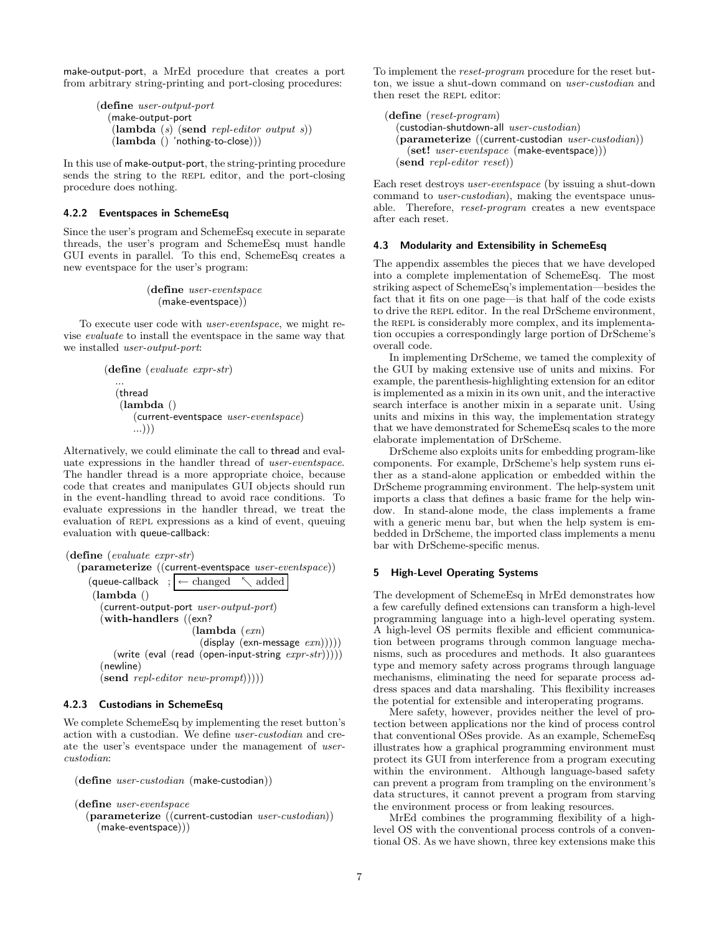make-output-port, a MrEd procedure that creates a port from arbitrary string-printing and port-closing procedures:

```
(define user-output-port
  (make-output-port
   (lambda (s) (send repl-editor output s))
   (lambda() 'nothing-to-close)))
```
In this use of make-output-port, the string-printing procedure sends the string to the REPL editor, and the port-closing procedure does nothing.

# 4.2.2 Eventspaces in SchemeEsq

Since the user's program and SchemeEsq execute in separate threads, the user's program and SchemeEsq must handle GUI events in parallel. To this end, SchemeEsq creates a new eventspace for the user's program:

# (define user-eventspace (make-eventspace))

To execute user code with user-eventspace, we might revise evaluate to install the eventspace in the same way that we installed user-output-port:

```
(define (evaluate expr-str)
  ...
  (thread
   (lambda ()
      (current-eventspace user-eventspace)
      ...)))
```
Alternatively, we could eliminate the call to thread and evaluate expressions in the handler thread of user-eventspace. The handler thread is a more appropriate choice, because code that creates and manipulates GUI objects should run in the event-handling thread to avoid race conditions. To evaluate expressions in the handler thread, we treat the evaluation of REPL expressions as a kind of event, queuing evaluation with queue-callback:

```
(define (evaluate expr-str)
  (parameterize ((current-eventspace user-eventspace))
     (queue-callback ; \leftarrow changed \searrow added
      (lambda ()
        (current-output-port user-output-port)(with-handlers ((exn?
                             (lambda (exn))(display (exn-message \, <i>exn</i>))))(write (eval (read (open-input-string expr \text{-}str)))))
        (newline)
        (send \; repl\; editor \; new\text{-}prompt))))
```
### 4.2.3 Custodians in SchemeEsq

We complete SchemeEsq by implementing the reset button's action with a custodian. We define user-custodian and create the user's eventspace under the management of usercustodian:

```
(define user-custodian (make-custodian))
```
(define user-eventspace

 $(parameterize (current-custodian user-custodian))$ (make-eventspace)))

To implement the reset-program procedure for the reset button, we issue a shut-down command on user-custodian and then reset the REPL editor:

```
(define (reset-program)
  (custodian-shutdown-all \ user-custodian)(parameterize ((current-custodian user-custodian))
    (set! user-eventspace (make-eventspace)))
  (send repl-editor reset))
```
Each reset destroys user-eventspace (by issuing a shut-down command to user-custodian), making the eventspace unusable. Therefore, reset-program creates a new eventspace after each reset.

# 4.3 Modularity and Extensibility in SchemeEsq

The appendix assembles the pieces that we have developed into a complete implementation of SchemeEsq. The most striking aspect of SchemeEsq's implementation—besides the fact that it fits on one page—is that half of the code exists to drive the repl editor. In the real DrScheme environment, the REPL is considerably more complex, and its implementation occupies a correspondingly large portion of DrScheme's overall code.

In implementing DrScheme, we tamed the complexity of the GUI by making extensive use of units and mixins. For example, the parenthesis-highlighting extension for an editor is implemented as a mixin in its own unit, and the interactive search interface is another mixin in a separate unit. Using units and mixins in this way, the implementation strategy that we have demonstrated for SchemeEsq scales to the more elaborate implementation of DrScheme.

DrScheme also exploits units for embedding program-like components. For example, DrScheme's help system runs either as a stand-alone application or embedded within the DrScheme programming environment. The help-system unit imports a class that defines a basic frame for the help window. In stand-alone mode, the class implements a frame with a generic menu bar, but when the help system is embedded in DrScheme, the imported class implements a menu bar with DrScheme-specific menus.

# 5 High-Level Operating Systems

The development of SchemeEsq in MrEd demonstrates how a few carefully defined extensions can transform a high-level programming language into a high-level operating system. A high-level OS permits flexible and efficient communication between programs through common language mechanisms, such as procedures and methods. It also guarantees type and memory safety across programs through language mechanisms, eliminating the need for separate process address spaces and data marshaling. This flexibility increases the potential for extensible and interoperating programs.

Mere safety, however, provides neither the level of protection between applications nor the kind of process control that conventional OSes provide. As an example, SchemeEsq illustrates how a graphical programming environment must protect its GUI from interference from a program executing within the environment. Although language-based safety can prevent a program from trampling on the environment's data structures, it cannot prevent a program from starving the environment process or from leaking resources.

MrEd combines the programming flexibility of a highlevel OS with the conventional process controls of a conventional OS. As we have shown, three key extensions make this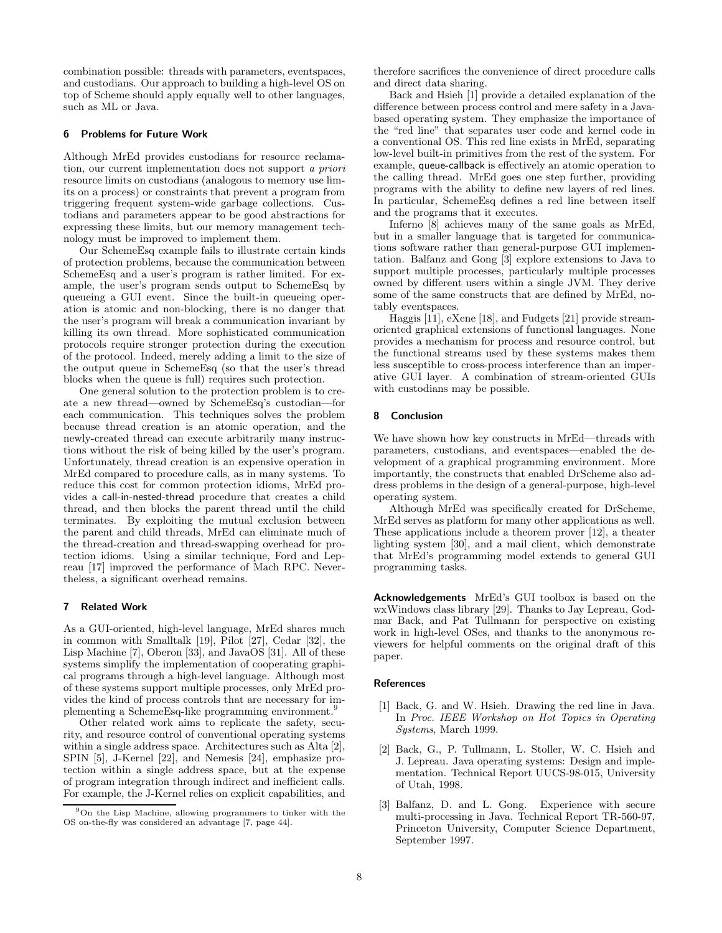combination possible: threads with parameters, eventspaces, and custodians. Our approach to building a high-level OS on top of Scheme should apply equally well to other languages, such as ML or Java.

## 6 Problems for Future Work

Although MrEd provides custodians for resource reclamation, our current implementation does not support a priori resource limits on custodians (analogous to memory use limits on a process) or constraints that prevent a program from triggering frequent system-wide garbage collections. Custodians and parameters appear to be good abstractions for expressing these limits, but our memory management technology must be improved to implement them.

Our SchemeEsq example fails to illustrate certain kinds of protection problems, because the communication between SchemeEsq and a user's program is rather limited. For example, the user's program sends output to SchemeEsq by queueing a GUI event. Since the built-in queueing operation is atomic and non-blocking, there is no danger that the user's program will break a communication invariant by killing its own thread. More sophisticated communication protocols require stronger protection during the execution of the protocol. Indeed, merely adding a limit to the size of the output queue in SchemeEsq (so that the user's thread blocks when the queue is full) requires such protection.

One general solution to the protection problem is to create a new thread—owned by SchemeEsq's custodian—for each communication. This techniques solves the problem because thread creation is an atomic operation, and the newly-created thread can execute arbitrarily many instructions without the risk of being killed by the user's program. Unfortunately, thread creation is an expensive operation in MrEd compared to procedure calls, as in many systems. To reduce this cost for common protection idioms, MrEd provides a call-in-nested-thread procedure that creates a child thread, and then blocks the parent thread until the child terminates. By exploiting the mutual exclusion between the parent and child threads, MrEd can eliminate much of the thread-creation and thread-swapping overhead for protection idioms. Using a similar technique, Ford and Lepreau [17] improved the performance of Mach RPC. Nevertheless, a significant overhead remains.

#### 7 Related Work

As a GUI-oriented, high-level language, MrEd shares much in common with Smalltalk [19], Pilot [27], Cedar [32], the Lisp Machine [7], Oberon [33], and JavaOS [31]. All of these systems simplify the implementation of cooperating graphical programs through a high-level language. Although most of these systems support multiple processes, only MrEd provides the kind of process controls that are necessary for implementing a SchemeEsq-like programming environment.<sup>9</sup>

Other related work aims to replicate the safety, security, and resource control of conventional operating systems within a single address space. Architectures such as Alta [2], SPIN [5], J-Kernel [22], and Nemesis [24], emphasize protection within a single address space, but at the expense of program integration through indirect and inefficient calls. For example, the J-Kernel relies on explicit capabilities, and

therefore sacrifices the convenience of direct procedure calls and direct data sharing.

Back and Hsieh [1] provide a detailed explanation of the difference between process control and mere safety in a Javabased operating system. They emphasize the importance of the "red line" that separates user code and kernel code in a conventional OS. This red line exists in MrEd, separating low-level built-in primitives from the rest of the system. For example, queue-callback is effectively an atomic operation to the calling thread. MrEd goes one step further, providing programs with the ability to define new layers of red lines. In particular, SchemeEsq defines a red line between itself and the programs that it executes.

Inferno [8] achieves many of the same goals as MrEd, but in a smaller language that is targeted for communications software rather than general-purpose GUI implementation. Balfanz and Gong [3] explore extensions to Java to support multiple processes, particularly multiple processes owned by different users within a single JVM. They derive some of the same constructs that are defined by MrEd, notably eventspaces.

Haggis [11], eXene [18], and Fudgets [21] provide streamoriented graphical extensions of functional languages. None provides a mechanism for process and resource control, but the functional streams used by these systems makes them less susceptible to cross-process interference than an imperative GUI layer. A combination of stream-oriented GUIs with custodians may be possible.

#### 8 Conclusion

We have shown how key constructs in MrEd—threads with parameters, custodians, and eventspaces—enabled the development of a graphical programming environment. More importantly, the constructs that enabled DrScheme also address problems in the design of a general-purpose, high-level operating system.

Although MrEd was specifically created for DrScheme, MrEd serves as platform for many other applications as well. These applications include a theorem prover [12], a theater lighting system [30], and a mail client, which demonstrate that MrEd's programming model extends to general GUI programming tasks.

Acknowledgements MrEd's GUI toolbox is based on the wxWindows class library [29]. Thanks to Jay Lepreau, Godmar Back, and Pat Tullmann for perspective on existing work in high-level OSes, and thanks to the anonymous reviewers for helpful comments on the original draft of this paper.

#### **References**

- [1] Back, G. and W. Hsieh. Drawing the red line in Java. In Proc. IEEE Workshop on Hot Topics in Operating Systems, March 1999.
- [2] Back, G., P. Tullmann, L. Stoller, W. C. Hsieh and J. Lepreau. Java operating systems: Design and implementation. Technical Report UUCS-98-015, University of Utah, 1998.
- [3] Balfanz, D. and L. Gong. Experience with secure multi-processing in Java. Technical Report TR-560-97, Princeton University, Computer Science Department, September 1997.

<sup>9</sup>On the Lisp Machine, allowing programmers to tinker with the OS on-the-fly was considered an advantage [7, page 44].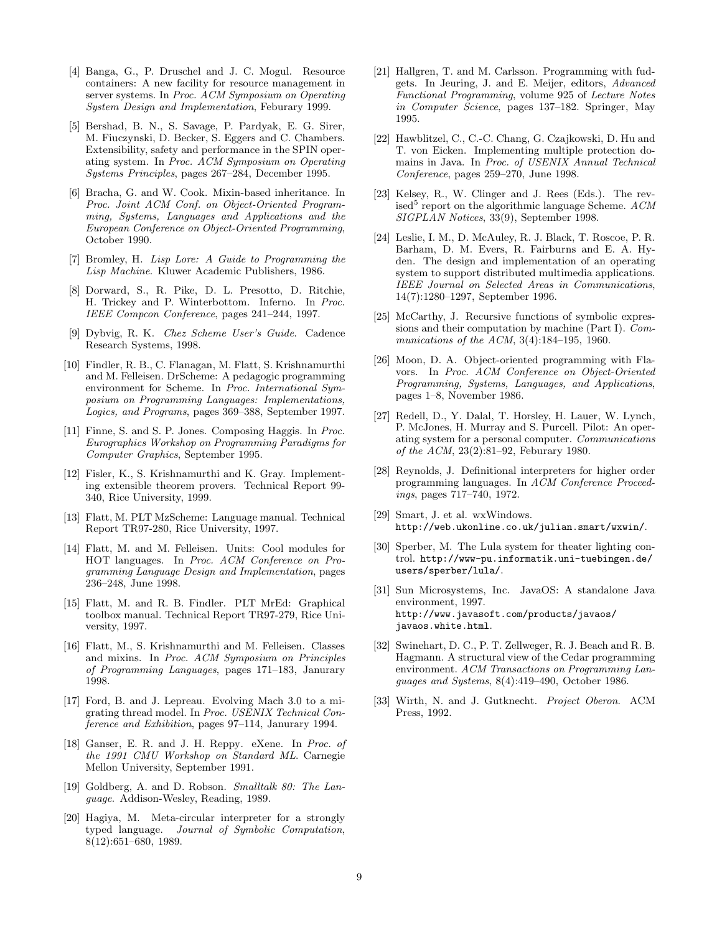- [4] Banga, G., P. Druschel and J. C. Mogul. Resource containers: A new facility for resource management in server systems. In Proc. ACM Symposium on Operating System Design and Implementation, Feburary 1999.
- [5] Bershad, B. N., S. Savage, P. Pardyak, E. G. Sirer, M. Fiuczynski, D. Becker, S. Eggers and C. Chambers. Extensibility, safety and performance in the SPIN operating system. In Proc. ACM Symposium on Operating Systems Principles, pages 267–284, December 1995.
- [6] Bracha, G. and W. Cook. Mixin-based inheritance. In Proc. Joint ACM Conf. on Object-Oriented Programming, Systems, Languages and Applications and the European Conference on Object-Oriented Programming, October 1990.
- [7] Bromley, H. Lisp Lore: A Guide to Programming the Lisp Machine. Kluwer Academic Publishers, 1986.
- [8] Dorward, S., R. Pike, D. L. Presotto, D. Ritchie, H. Trickey and P. Winterbottom. Inferno. In Proc. IEEE Compcon Conference, pages 241–244, 1997.
- [9] Dybvig, R. K. Chez Scheme User's Guide. Cadence Research Systems, 1998.
- [10] Findler, R. B., C. Flanagan, M. Flatt, S. Krishnamurthi and M. Felleisen. DrScheme: A pedagogic programming environment for Scheme. In Proc. International Symposium on Programming Languages: Implementations, Logics, and Programs, pages 369–388, September 1997.
- [11] Finne, S. and S. P. Jones. Composing Haggis. In Proc. Eurographics Workshop on Programming Paradigms for Computer Graphics, September 1995.
- [12] Fisler, K., S. Krishnamurthi and K. Gray. Implementing extensible theorem provers. Technical Report 99- 340, Rice University, 1999.
- [13] Flatt, M. PLT MzScheme: Language manual. Technical Report TR97-280, Rice University, 1997.
- [14] Flatt, M. and M. Felleisen. Units: Cool modules for HOT languages. In Proc. ACM Conference on Programming Language Design and Implementation, pages 236–248, June 1998.
- [15] Flatt, M. and R. B. Findler. PLT MrEd: Graphical toolbox manual. Technical Report TR97-279, Rice University, 1997.
- [16] Flatt, M., S. Krishnamurthi and M. Felleisen. Classes and mixins. In Proc. ACM Symposium on Principles of Programming Languages, pages 171–183, Janurary 1998.
- [17] Ford, B. and J. Lepreau. Evolving Mach 3.0 to a migrating thread model. In Proc. USENIX Technical Conference and Exhibition, pages 97–114, Janurary 1994.
- [18] Ganser, E. R. and J. H. Reppy. eXene. In Proc. of the 1991 CMU Workshop on Standard ML. Carnegie Mellon University, September 1991.
- [19] Goldberg, A. and D. Robson. Smalltalk 80: The Language. Addison-Wesley, Reading, 1989.
- [20] Hagiya, M. Meta-circular interpreter for a strongly typed language. Journal of Symbolic Computation, 8(12):651–680, 1989.
- [21] Hallgren, T. and M. Carlsson. Programming with fudgets. In Jeuring, J. and E. Meijer, editors, Advanced Functional Programming, volume 925 of Lecture Notes in Computer Science, pages 137–182. Springer, May 1995.
- [22] Hawblitzel, C., C.-C. Chang, G. Czajkowski, D. Hu and T. von Eicken. Implementing multiple protection domains in Java. In Proc. of USENIX Annual Technical Conference, pages 259–270, June 1998.
- [23] Kelsey, R., W. Clinger and J. Rees (Eds.). The revised<sup>5</sup> report on the algorithmic language Scheme.  $ACM$ SIGPLAN Notices, 33(9), September 1998.
- [24] Leslie, I. M., D. McAuley, R. J. Black, T. Roscoe, P. R. Barham, D. M. Evers, R. Fairburns and E. A. Hyden. The design and implementation of an operating system to support distributed multimedia applications. IEEE Journal on Selected Areas in Communications, 14(7):1280–1297, September 1996.
- [25] McCarthy, J. Recursive functions of symbolic expressions and their computation by machine (Part I). Communications of the ACM, 3(4):184–195, 1960.
- [26] Moon, D. A. Object-oriented programming with Flavors. In Proc. ACM Conference on Object-Oriented Programming, Systems, Languages, and Applications, pages 1–8, November 1986.
- [27] Redell, D., Y. Dalal, T. Horsley, H. Lauer, W. Lynch, P. McJones, H. Murray and S. Purcell. Pilot: An operating system for a personal computer. Communications of the ACM, 23(2):81–92, Feburary 1980.
- [28] Reynolds, J. Definitional interpreters for higher order programming languages. In ACM Conference Proceedings, pages 717–740, 1972.
- [29] Smart, J. et al. wxWindows. http://web.ukonline.co.uk/julian.smart/wxwin/.
- [30] Sperber, M. The Lula system for theater lighting control. http://www-pu.informatik.uni-tuebingen.de/ users/sperber/lula/.
- [31] Sun Microsystems, Inc. JavaOS: A standalone Java environment, 1997. http://www.javasoft.com/products/javaos/ javaos.white.html.
- [32] Swinehart, D. C., P. T. Zellweger, R. J. Beach and R. B. Hagmann. A structural view of the Cedar programming environment. ACM Transactions on Programming Languages and Systems, 8(4):419–490, October 1986.
- [33] Wirth, N. and J. Gutknecht. Project Oberon. ACM Press, 1992.